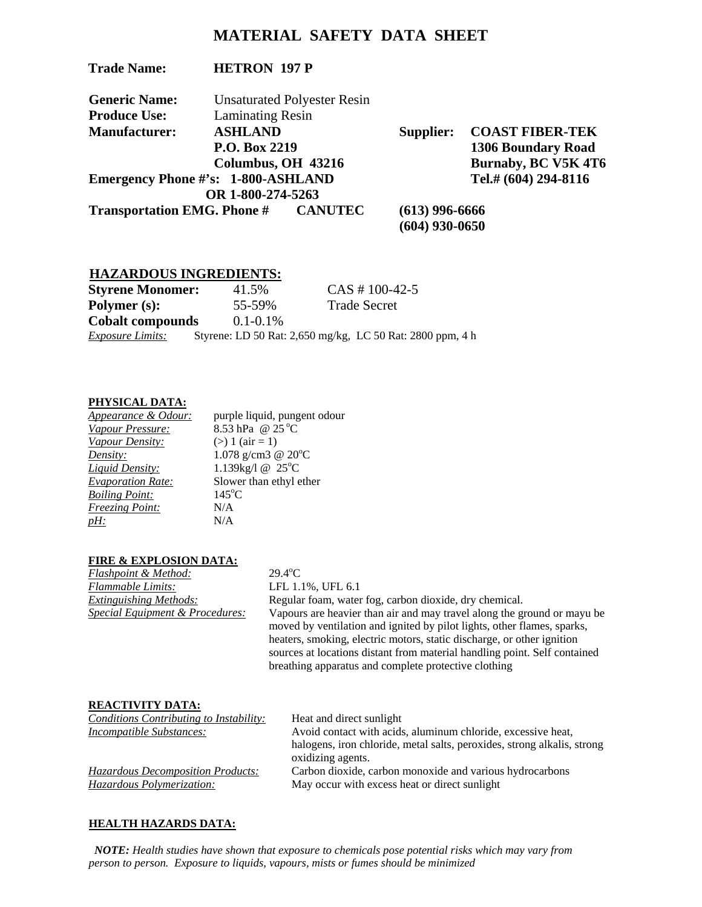# **MATERIAL SAFETY DATA SHEET**

| <b>Trade Name:</b>                         | <b>HETRON 197 P</b>                 |                                    |                  |                           |
|--------------------------------------------|-------------------------------------|------------------------------------|------------------|---------------------------|
| <b>Generic Name:</b>                       |                                     | <b>Unsaturated Polyester Resin</b> |                  |                           |
| <b>Produce Use:</b>                        | <b>Laminating Resin</b>             |                                    |                  |                           |
| <b>Manufacturer:</b>                       | <b>ASHLAND</b>                      |                                    | Supplier:        | <b>COAST FIBER-TEK</b>    |
|                                            | P.O. Box 2219<br>Columbus, OH 43216 |                                    |                  | <b>1306 Boundary Road</b> |
|                                            |                                     |                                    |                  | Burnaby, BC V5K 4T6       |
| <b>Emergency Phone #'s: 1-800-ASHLAND</b>  |                                     |                                    |                  | Tel.# (604) 294-8116      |
|                                            | OR 1-800-274-5263                   |                                    |                  |                           |
| <b>Transportation EMG. Phone # CANUTEC</b> |                                     |                                    | $(613)$ 996-6666 |                           |
|                                            |                                     |                                    | $(604)$ 930-0650 |                           |

## **HAZARDOUS INGREDIENTS:**

| <b>Styrene Monomer:</b> | 41.5%         | $CAS # 100-42-5$                                          |
|-------------------------|---------------|-----------------------------------------------------------|
| Polymer (s):            | 55-59%        | <b>Trade Secret</b>                                       |
| <b>Cobalt compounds</b> | $0.1 - 0.1\%$ |                                                           |
| <b>Exposure Limits:</b> |               | Styrene: LD 50 Rat: 2,650 mg/kg, LC 50 Rat: 2800 ppm, 4 h |

## **PHYSICAL DATA:**

| Appearance & Odour:      | purple liquid, pungent odour |
|--------------------------|------------------------------|
| Vapour Pressure:         | 8.53 hPa @ 25 °C             |
| Vapour Density:          | $(>) 1 (air = 1)$            |
| Density:                 | 1.078 g/cm3 @ $20^{\circ}$ C |
| <b>Liquid Density:</b>   | 1.139kg/l @ 25°C             |
| <b>Evaporation Rate:</b> | Slower than ethyl ether      |
| <b>Boiling Point:</b>    | $145^{\circ}$ C              |
| <b>Freezing Point:</b>   | N/A                          |
| $pH$ :                   | N/A                          |
|                          |                              |

## **FIRE & EXPLOSION DATA:**

| Flashpoint & Method:                       | $29.4^{\circ}$ C |
|--------------------------------------------|------------------|
| <b>Flammable Limits:</b>                   | $LFL$ 1.         |
| <b>Extinguishing Methods:</b>              | Regular          |
| <i>Special Equipment &amp; Procedures:</i> | Vapour           |

*LFL* 1.1%, UFL 6.1 *Extinguishing Methods:* Regular foam, water fog, carbon dioxide, dry chemical. Vapours are heavier than air and may travel along the ground or mayu be moved by ventilation and ignited by pilot lights, other flames, sparks, heaters, smoking, electric motors, static discharge, or other ignition sources at locations distant from material handling point. Self contained breathing apparatus and complete protective clothing

#### **REACTIVITY DATA:**

| Conditions Contributing to Instability: | Heat and direct sunlight                                                |
|-----------------------------------------|-------------------------------------------------------------------------|
| Incompatible Substances:                | Avoid contact with acids, aluminum chloride, excessive heat,            |
|                                         | halogens, iron chloride, metal salts, peroxides, strong alkalis, strong |
|                                         | oxidizing agents.                                                       |
| Hazardous Decomposition Products:       | Carbon dioxide, carbon monoxide and various hydrocarbons                |
| Hazardous Polymerization:               | May occur with excess heat or direct sunlight                           |
|                                         |                                                                         |

# **HEALTH HAZARDS DATA:**

 *NOTE: Health studies have shown that exposure to chemicals pose potential risks which may vary from person to person. Exposure to liquids, vapours, mists or fumes should be minimized*